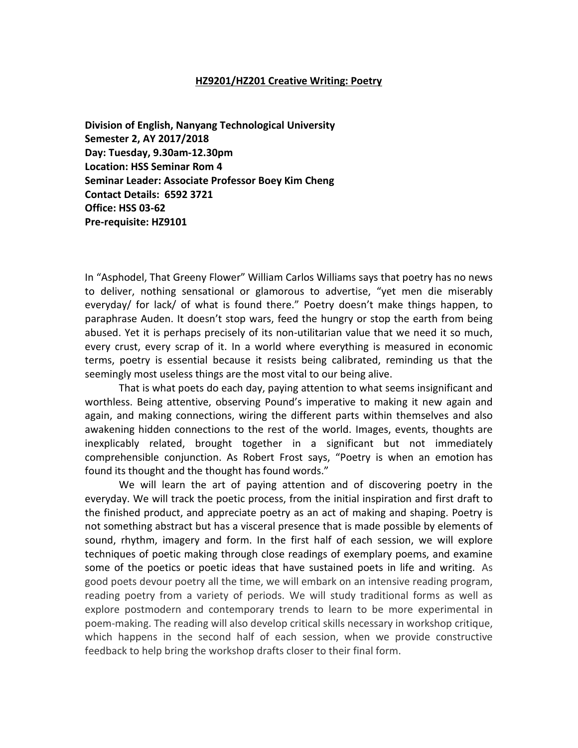#### **HZ9201/HZ201 Creative Writing: Poetry**

**Division of English, Nanyang Technological University Semester 2, AY 2017/2018 Day: Tuesday, 9.30am-12.30pm Location: HSS Seminar Rom 4 Seminar Leader: Associate Professor Boey Kim Cheng Contact Details: 6592 3721 Office: HSS 03-62 Pre-requisite: HZ9101**

In "Asphodel, That Greeny Flower" William Carlos Williams says that poetry has no news to deliver, nothing sensational or glamorous to advertise, "yet men die miserably everyday/ for lack/ of what is found there." Poetry doesn't make things happen, to paraphrase Auden. It doesn't stop wars, feed the hungry or stop the earth from being abused. Yet it is perhaps precisely of its non-utilitarian value that we need it so much, every crust, every scrap of it. In a world where everything is measured in economic terms, poetry is essential because it resists being calibrated, reminding us that the seemingly most useless things are the most vital to our being alive.

That is what poets do each day, paying attention to what seems insignificant and worthless. Being attentive, observing Pound's imperative to making it new again and again, and making connections, wiring the different parts within themselves and also awakening hidden connections to the rest of the world. Images, events, thoughts are inexplicably related, brought together in a significant but not immediately comprehensible conjunction. As Robert Frost says, "Poetry is when an emotion has found its thought and the thought has found words."

We will learn the art of paying attention and of discovering poetry in the everyday. We will track the poetic process, from the initial inspiration and first draft to the finished product, and appreciate poetry as an act of making and shaping. Poetry is not something abstract but has a visceral presence that is made possible by elements of sound, rhythm, imagery and form. In the first half of each session, we will explore techniques of poetic making through close readings of exemplary poems, and examine some of the poetics or poetic ideas that have sustained poets in life and writing. As good poets devour poetry all the time, we will embark on an intensive reading program, reading poetry from a variety of periods. We will study traditional forms as well as explore postmodern and contemporary trends to learn to be more experimental in poem-making. The reading will also develop critical skills necessary in workshop critique, which happens in the second half of each session, when we provide constructive feedback to help bring the workshop drafts closer to their final form.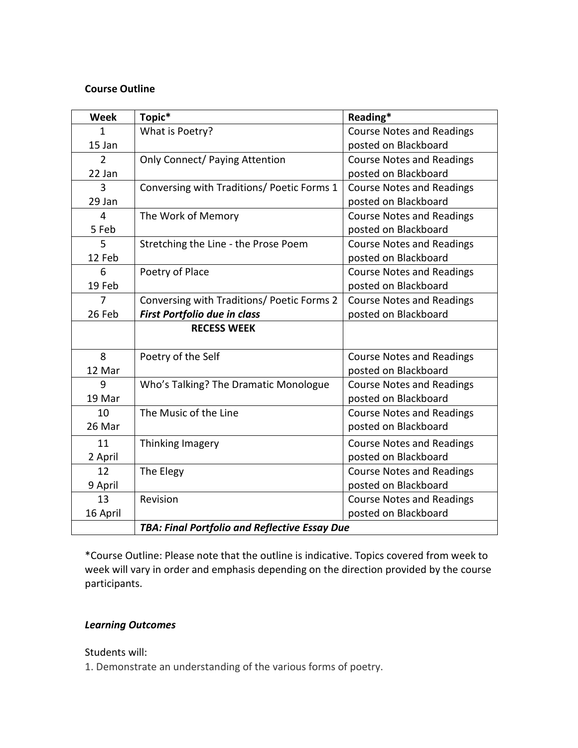## **Course Outline**

| <b>Week</b>   | Topic*                                               | Reading*                         |
|---------------|------------------------------------------------------|----------------------------------|
| 1             | What is Poetry?                                      | <b>Course Notes and Readings</b> |
| 15 Jan        |                                                      | posted on Blackboard             |
| $\mathcal{P}$ | <b>Only Connect/ Paying Attention</b>                | <b>Course Notes and Readings</b> |
| 22 Jan        |                                                      | posted on Blackboard             |
| 3             | Conversing with Traditions/ Poetic Forms 1           | <b>Course Notes and Readings</b> |
| 29 Jan        |                                                      | posted on Blackboard             |
| 4             | The Work of Memory                                   | <b>Course Notes and Readings</b> |
| 5 Feb         |                                                      | posted on Blackboard             |
| 5             | Stretching the Line - the Prose Poem                 | <b>Course Notes and Readings</b> |
| 12 Feb        |                                                      | posted on Blackboard             |
| 6             | Poetry of Place                                      | <b>Course Notes and Readings</b> |
| 19 Feb        |                                                      | posted on Blackboard             |
| 7             | Conversing with Traditions/ Poetic Forms 2           | <b>Course Notes and Readings</b> |
| 26 Feb        | <b>First Portfolio due in class</b>                  | posted on Blackboard             |
|               | <b>RECESS WEEK</b>                                   |                                  |
| 8             | Poetry of the Self                                   | <b>Course Notes and Readings</b> |
| 12 Mar        |                                                      | posted on Blackboard             |
| 9             | Who's Talking? The Dramatic Monologue                | <b>Course Notes and Readings</b> |
| 19 Mar        |                                                      | posted on Blackboard             |
| 10            | The Music of the Line                                | <b>Course Notes and Readings</b> |
| 26 Mar        |                                                      | posted on Blackboard             |
| 11            | Thinking Imagery                                     | <b>Course Notes and Readings</b> |
| 2 April       |                                                      | posted on Blackboard             |
| 12            | The Elegy                                            | <b>Course Notes and Readings</b> |
| 9 April       |                                                      | posted on Blackboard             |
| 13            | Revision                                             | <b>Course Notes and Readings</b> |
| 16 April      |                                                      | posted on Blackboard             |
|               | <b>TBA: Final Portfolio and Reflective Essay Due</b> |                                  |

\*Course Outline: Please note that the outline is indicative. Topics covered from week to week will vary in order and emphasis depending on the direction provided by the course participants.

## *Learning Outcomes*

Students will:

1. Demonstrate an understanding of the various forms of poetry.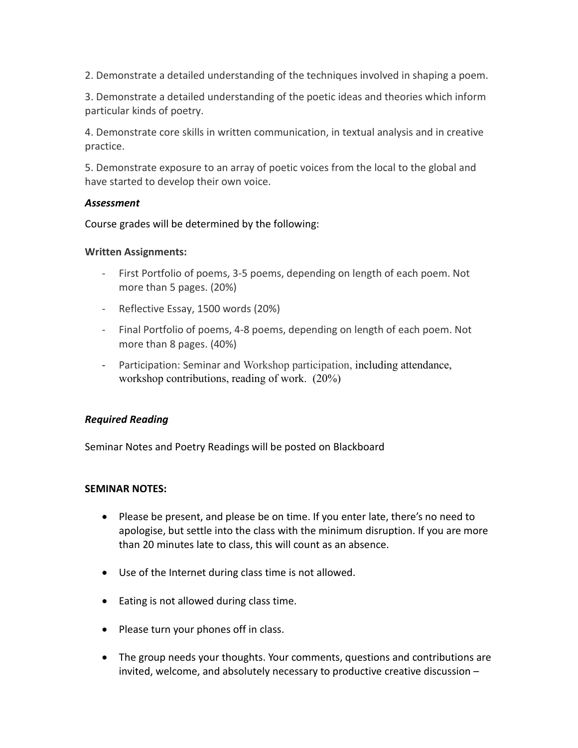2. Demonstrate a detailed understanding of the techniques involved in shaping a poem.

3. Demonstrate a detailed understanding of the poetic ideas and theories which inform particular kinds of poetry.

4. Demonstrate core skills in written communication, in textual analysis and in creative practice.

5. Demonstrate exposure to an array of poetic voices from the local to the global and have started to develop their own voice.

## *Assessment*

Course grades will be determined by the following:

## **Written Assignments:**

- First Portfolio of poems, 3-5 poems, depending on length of each poem. Not more than 5 pages. (20%)
- Reflective Essay, 1500 words (20%)
- Final Portfolio of poems, 4-8 poems, depending on length of each poem. Not more than 8 pages. (40%)
- Participation: Seminar and Workshop participation, including attendance, workshop contributions, reading of work. (20%)

# *Required Reading*

Seminar Notes and Poetry Readings will be posted on Blackboard

## **SEMINAR NOTES:**

- Please be present, and please be on time. If you enter late, there's no need to apologise, but settle into the class with the minimum disruption. If you are more than 20 minutes late to class, this will count as an absence.
- Use of the Internet during class time is not allowed.
- Eating is not allowed during class time.
- Please turn your phones off in class.
- The group needs your thoughts. Your comments, questions and contributions are invited, welcome, and absolutely necessary to productive creative discussion –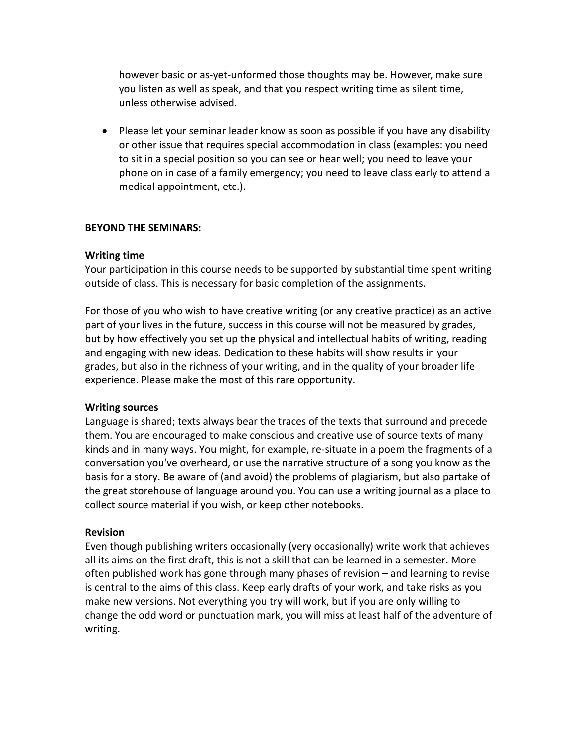however basic or as-yet-unformed those thoughts may be. However, make sure you listen as well as speak, and that you respect writing time as silent time, unless otherwise advised.

• Please let your seminar leader know as soon as possible if you have any disability or other issue that requires special accommodation in class (examples: you need to sit in a special position so you can see or hear well; you need to leave your phone on in case of a family emergency; you need to leave class early to attend a medical appointment, etc.).

## **BEYOND THE SEMINARS:**

### **Writing time**

Your participation in this course needs to be supported by substantial time spent writing outside of class. This is necessary for basic completion of the assignments.

For those of you who wish to have creative writing (or any creative practice) as an active part of your lives in the future, success in this course will not be measured by grades, but by how effectively you set up the physical and intellectual habits of writing, reading and engaging with new ideas. Dedication to these habits will show results in your grades, but also in the richness of your writing, and in the quality of your broader life experience. Please make the most of this rare opportunity.

#### **Writing sources**

Language is shared; texts always bear the traces of the texts that surround and precede them. You are encouraged to make conscious and creative use of source texts of many kinds and in many ways. You might, for example, re-situate in a poem the fragments of a conversation you've overheard, or use the narrative structure of a song you know as the basis for a story. Be aware of (and avoid) the problems of plagiarism, but also partake of the great storehouse of language around you. You can use a writing journal as a place to collect source material if you wish, or keep other notebooks.

#### **Revision**

Even though publishing writers occasionally (very occasionally) write work that achieves all its aims on the first draft, this is not a skill that can be learned in a semester. More often published work has gone through many phases of revision – and learning to revise is central to the aims of this class. Keep early drafts of your work, and take risks as you make new versions. Not everything you try will work, but if you are only willing to change the odd word or punctuation mark, you will miss at least half of the adventure of writing.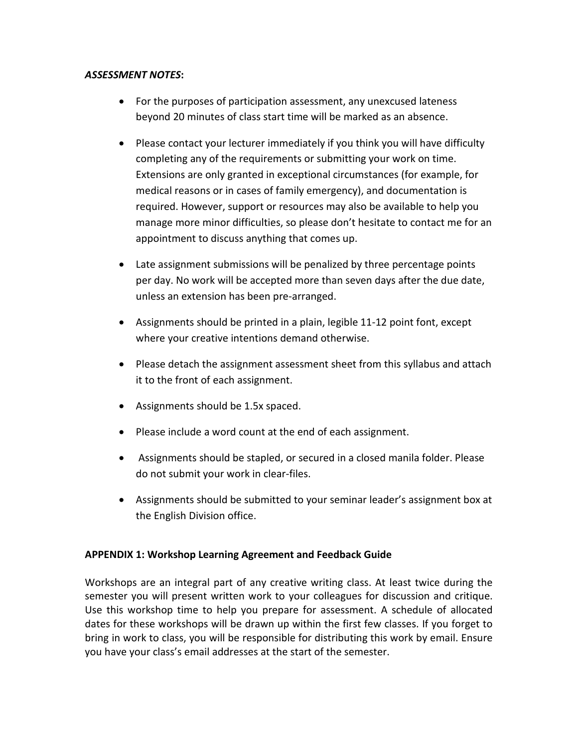## *ASSESSMENT NOTES***:**

- For the purposes of participation assessment, any unexcused lateness beyond 20 minutes of class start time will be marked as an absence.
- Please contact your lecturer immediately if you think you will have difficulty completing any of the requirements or submitting your work on time. Extensions are only granted in exceptional circumstances (for example, for medical reasons or in cases of family emergency), and documentation is required. However, support or resources may also be available to help you manage more minor difficulties, so please don't hesitate to contact me for an appointment to discuss anything that comes up.
- Late assignment submissions will be penalized by three percentage points per day. No work will be accepted more than seven days after the due date, unless an extension has been pre-arranged.
- Assignments should be printed in a plain, legible 11-12 point font, except where your creative intentions demand otherwise.
- Please detach the assignment assessment sheet from this syllabus and attach it to the front of each assignment.
- Assignments should be 1.5x spaced.
- Please include a word count at the end of each assignment.
- Assignments should be stapled, or secured in a closed manila folder. Please do not submit your work in clear-files.
- Assignments should be submitted to your seminar leader's assignment box at the English Division office.

## **APPENDIX 1: Workshop Learning Agreement and Feedback Guide**

Workshops are an integral part of any creative writing class. At least twice during the semester you will present written work to your colleagues for discussion and critique. Use this workshop time to help you prepare for assessment. A schedule of allocated dates for these workshops will be drawn up within the first few classes. If you forget to bring in work to class, you will be responsible for distributing this work by email. Ensure you have your class's email addresses at the start of the semester.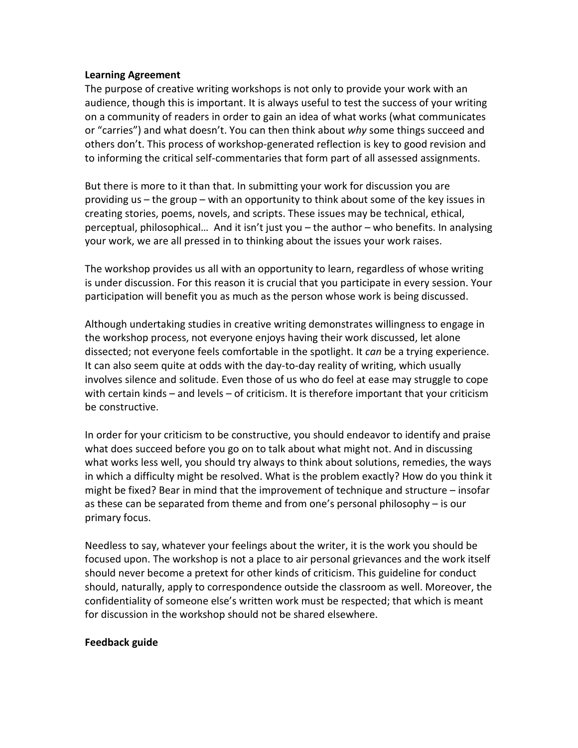### **Learning Agreement**

The purpose of creative writing workshops is not only to provide your work with an audience, though this is important. It is always useful to test the success of your writing on a community of readers in order to gain an idea of what works (what communicates or "carries") and what doesn't. You can then think about *why* some things succeed and others don't. This process of workshop-generated reflection is key to good revision and to informing the critical self-commentaries that form part of all assessed assignments.

But there is more to it than that. In submitting your work for discussion you are providing us – the group – with an opportunity to think about some of the key issues in creating stories, poems, novels, and scripts. These issues may be technical, ethical, perceptual, philosophical… And it isn't just you – the author – who benefits. In analysing your work, we are all pressed in to thinking about the issues your work raises.

The workshop provides us all with an opportunity to learn, regardless of whose writing is under discussion. For this reason it is crucial that you participate in every session. Your participation will benefit you as much as the person whose work is being discussed.

Although undertaking studies in creative writing demonstrates willingness to engage in the workshop process, not everyone enjoys having their work discussed, let alone dissected; not everyone feels comfortable in the spotlight. It *can* be a trying experience. It can also seem quite at odds with the day-to-day reality of writing, which usually involves silence and solitude. Even those of us who do feel at ease may struggle to cope with certain kinds – and levels – of criticism. It is therefore important that your criticism be constructive.

In order for your criticism to be constructive, you should endeavor to identify and praise what does succeed before you go on to talk about what might not. And in discussing what works less well, you should try always to think about solutions, remedies, the ways in which a difficulty might be resolved. What is the problem exactly? How do you think it might be fixed? Bear in mind that the improvement of technique and structure – insofar as these can be separated from theme and from one's personal philosophy – is our primary focus.

Needless to say, whatever your feelings about the writer, it is the work you should be focused upon. The workshop is not a place to air personal grievances and the work itself should never become a pretext for other kinds of criticism. This guideline for conduct should, naturally, apply to correspondence outside the classroom as well. Moreover, the confidentiality of someone else's written work must be respected; that which is meant for discussion in the workshop should not be shared elsewhere.

## **Feedback guide**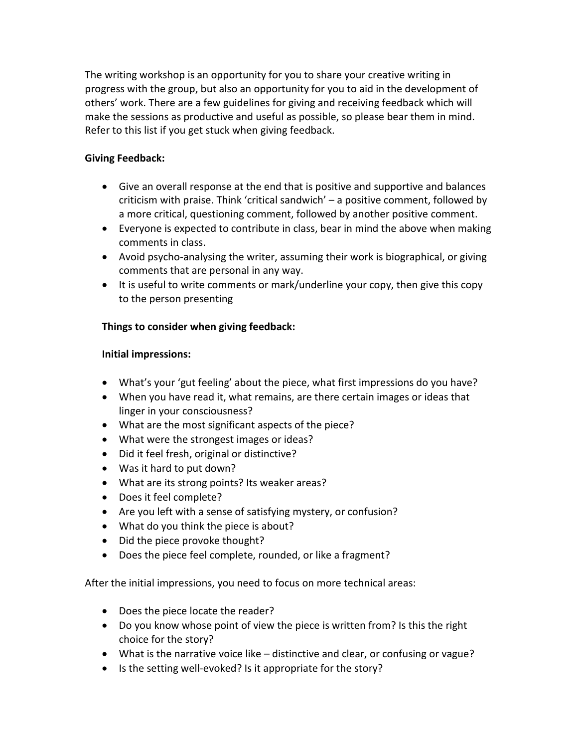The writing workshop is an opportunity for you to share your creative writing in progress with the group, but also an opportunity for you to aid in the development of others' work. There are a few guidelines for giving and receiving feedback which will make the sessions as productive and useful as possible, so please bear them in mind. Refer to this list if you get stuck when giving feedback.

# **Giving Feedback:**

- Give an overall response at the end that is positive and supportive and balances criticism with praise. Think 'critical sandwich' – a positive comment, followed by a more critical, questioning comment, followed by another positive comment.
- Everyone is expected to contribute in class, bear in mind the above when making comments in class.
- Avoid psycho-analysing the writer, assuming their work is biographical, or giving comments that are personal in any way.
- It is useful to write comments or mark/underline your copy, then give this copy to the person presenting

# **Things to consider when giving feedback:**

# **Initial impressions:**

- What's your 'gut feeling' about the piece, what first impressions do you have?
- When you have read it, what remains, are there certain images or ideas that linger in your consciousness?
- What are the most significant aspects of the piece?
- What were the strongest images or ideas?
- Did it feel fresh, original or distinctive?
- Was it hard to put down?
- What are its strong points? Its weaker areas?
- Does it feel complete?
- Are you left with a sense of satisfying mystery, or confusion?
- What do you think the piece is about?
- Did the piece provoke thought?
- Does the piece feel complete, rounded, or like a fragment?

After the initial impressions, you need to focus on more technical areas:

- Does the piece locate the reader?
- Do you know whose point of view the piece is written from? Is this the right choice for the story?
- What is the narrative voice like distinctive and clear, or confusing or vague?
- Is the setting well-evoked? Is it appropriate for the story?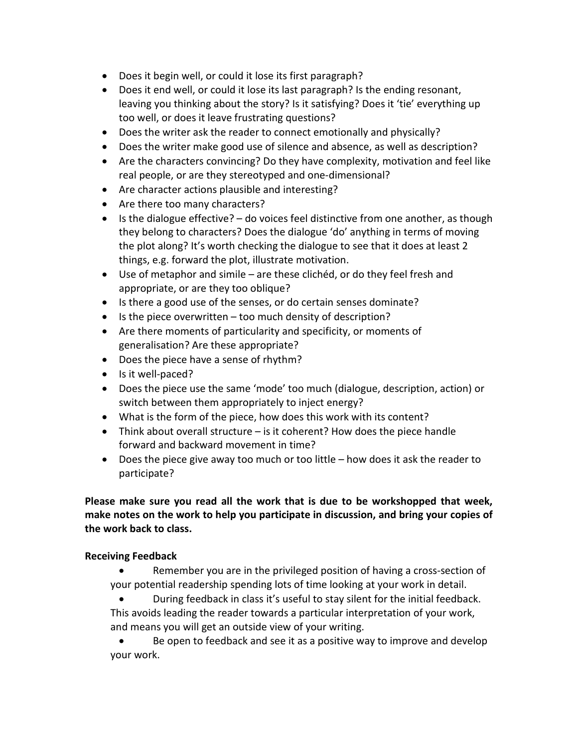- Does it begin well, or could it lose its first paragraph?
- Does it end well, or could it lose its last paragraph? Is the ending resonant, leaving you thinking about the story? Is it satisfying? Does it 'tie' everything up too well, or does it leave frustrating questions?
- Does the writer ask the reader to connect emotionally and physically?
- Does the writer make good use of silence and absence, as well as description?
- Are the characters convincing? Do they have complexity, motivation and feel like real people, or are they stereotyped and one-dimensional?
- Are character actions plausible and interesting?
- Are there too many characters?
- Is the dialogue effective? do voices feel distinctive from one another, as though they belong to characters? Does the dialogue 'do' anything in terms of moving the plot along? It's worth checking the dialogue to see that it does at least 2 things, e.g. forward the plot, illustrate motivation.
- Use of metaphor and simile are these clichéd, or do they feel fresh and appropriate, or are they too oblique?
- Is there a good use of the senses, or do certain senses dominate?
- Is the piece overwritten too much density of description?
- Are there moments of particularity and specificity, or moments of generalisation? Are these appropriate?
- Does the piece have a sense of rhythm?
- Is it well-paced?
- Does the piece use the same 'mode' too much (dialogue, description, action) or switch between them appropriately to inject energy?
- What is the form of the piece, how does this work with its content?
- Think about overall structure is it coherent? How does the piece handle forward and backward movement in time?
- Does the piece give away too much or too little how does it ask the reader to participate?

# **Please make sure you read all the work that is due to be workshopped that week, make notes on the work to help you participate in discussion, and bring your copies of the work back to class.**

# **Receiving Feedback**

Remember you are in the privileged position of having a cross-section of your potential readership spending lots of time looking at your work in detail.

• During feedback in class it's useful to stay silent for the initial feedback. This avoids leading the reader towards a particular interpretation of your work, and means you will get an outside view of your writing.

• Be open to feedback and see it as a positive way to improve and develop your work.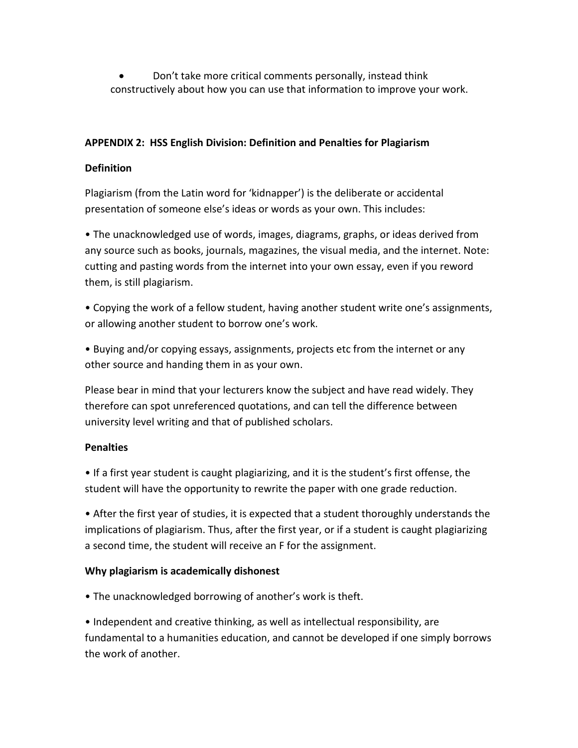• Don't take more critical comments personally, instead think constructively about how you can use that information to improve your work.

## **APPENDIX 2: HSS English Division: Definition and Penalties for Plagiarism**

## **Definition**

Plagiarism (from the Latin word for 'kidnapper') is the deliberate or accidental presentation of someone else's ideas or words as your own. This includes:

• The unacknowledged use of words, images, diagrams, graphs, or ideas derived from any source such as books, journals, magazines, the visual media, and the internet. Note: cutting and pasting words from the internet into your own essay, even if you reword them, is still plagiarism.

• Copying the work of a fellow student, having another student write one's assignments, or allowing another student to borrow one's work.

• Buying and/or copying essays, assignments, projects etc from the internet or any other source and handing them in as your own.

Please bear in mind that your lecturers know the subject and have read widely. They therefore can spot unreferenced quotations, and can tell the difference between university level writing and that of published scholars.

## **Penalties**

• If a first year student is caught plagiarizing, and it is the student's first offense, the student will have the opportunity to rewrite the paper with one grade reduction.

• After the first year of studies, it is expected that a student thoroughly understands the implications of plagiarism. Thus, after the first year, or if a student is caught plagiarizing a second time, the student will receive an F for the assignment.

# **Why plagiarism is academically dishonest**

• The unacknowledged borrowing of another's work is theft.

• Independent and creative thinking, as well as intellectual responsibility, are fundamental to a humanities education, and cannot be developed if one simply borrows the work of another.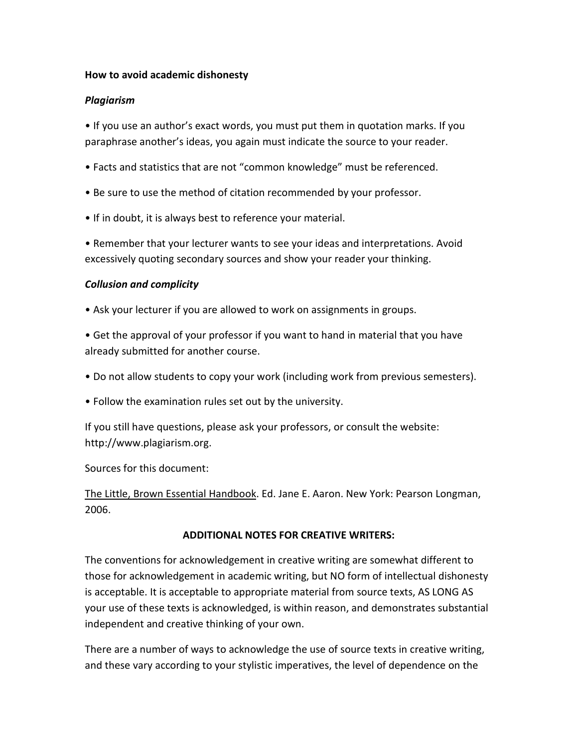## **How to avoid academic dishonesty**

## *Plagiarism*

• If you use an author's exact words, you must put them in quotation marks. If you paraphrase another's ideas, you again must indicate the source to your reader.

- Facts and statistics that are not "common knowledge" must be referenced.
- Be sure to use the method of citation recommended by your professor.
- If in doubt, it is always best to reference your material.

• Remember that your lecturer wants to see your ideas and interpretations. Avoid excessively quoting secondary sources and show your reader your thinking.

# *Collusion and complicity*

- Ask your lecturer if you are allowed to work on assignments in groups.
- Get the approval of your professor if you want to hand in material that you have already submitted for another course.
- Do not allow students to copy your work (including work from previous semesters).
- Follow the examination rules set out by the university.

If you still have questions, please ask your professors, or consult the website: http://www.plagiarism.org.

Sources for this document:

The Little, Brown Essential Handbook. Ed. Jane E. Aaron. New York: Pearson Longman, 2006.

# **ADDITIONAL NOTES FOR CREATIVE WRITERS:**

The conventions for acknowledgement in creative writing are somewhat different to those for acknowledgement in academic writing, but NO form of intellectual dishonesty is acceptable. It is acceptable to appropriate material from source texts, AS LONG AS your use of these texts is acknowledged, is within reason, and demonstrates substantial independent and creative thinking of your own.

There are a number of ways to acknowledge the use of source texts in creative writing, and these vary according to your stylistic imperatives, the level of dependence on the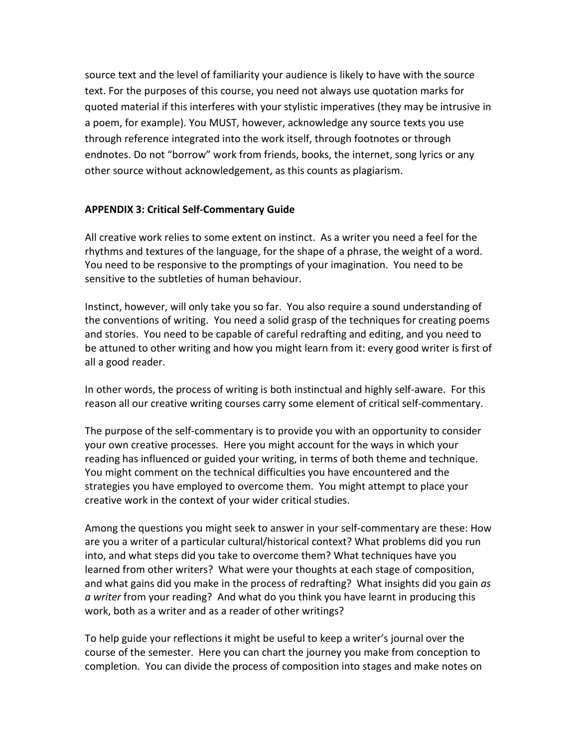source text and the level of familiarity your audience is likely to have with the source text. For the purposes of this course, you need not always use quotation marks for quoted material if this interferes with your stylistic imperatives (they may be intrusive in a poem, for example). You MUST, however, acknowledge any source texts you use through reference integrated into the work itself, through footnotes or through endnotes. Do not "borrow" work from friends, books, the internet, song lyrics or any other source without acknowledgement, as this counts as plagiarism.

## **APPENDIX 3: Critical Self-Commentary Guide**

All creative work relies to some extent on instinct. As a writer you need a feel for the rhythms and textures of the language, for the shape of a phrase, the weight of a word. You need to be responsive to the promptings of your imagination. You need to be sensitive to the subtleties of human behaviour.

Instinct, however, will only take you so far. You also require a sound understanding of the conventions of writing. You need a solid grasp of the techniques for creating poems and stories. You need to be capable of careful redrafting and editing, and you need to be attuned to other writing and how you might learn from it: every good writer is first of all a good reader.

In other words, the process of writing is both instinctual and highly self-aware. For this reason all our creative writing courses carry some element of critical self-commentary.

The purpose of the self-commentary is to provide you with an opportunity to consider your own creative processes. Here you might account for the ways in which your reading has influenced or guided your writing, in terms of both theme and technique. You might comment on the technical difficulties you have encountered and the strategies you have employed to overcome them. You might attempt to place your creative work in the context of your wider critical studies.

Among the questions you might seek to answer in your self-commentary are these: How are you a writer of a particular cultural/historical context? What problems did you run into, and what steps did you take to overcome them? What techniques have you learned from other writers? What were your thoughts at each stage of composition, and what gains did you make in the process of redrafting? What insights did you gain *as a writer* from your reading? And what do you think you have learnt in producing this work, both as a writer and as a reader of other writings?

To help guide your reflections it might be useful to keep a writer's journal over the course of the semester. Here you can chart the journey you make from conception to completion. You can divide the process of composition into stages and make notes on